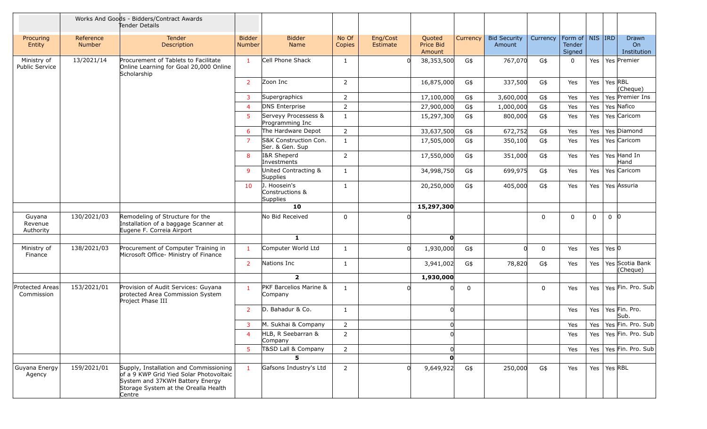|                                      |                     | Works And Goods - Bidders/Contract Awards<br>Tender Details                                                                                                            |                                |                                                    |                 |                      |                               |          |                               |             |                                         |             |                   |                                        |
|--------------------------------------|---------------------|------------------------------------------------------------------------------------------------------------------------------------------------------------------------|--------------------------------|----------------------------------------------------|-----------------|----------------------|-------------------------------|----------|-------------------------------|-------------|-----------------------------------------|-------------|-------------------|----------------------------------------|
| Procuring<br>Entity                  | Reference<br>Number | <b>Tender</b><br>Description                                                                                                                                           | <b>Bidder</b><br><b>Number</b> | <b>Bidder</b><br>Name                              | No Of<br>Copies | Eng/Cost<br>Estimate | Quoted<br>Price Bid<br>Amount | Currency | <b>Bid Security</b><br>Amount | Currency    | Form of   NIS   IRD<br>Tender<br>Signed |             |                   | Drawn<br>O <sub>n</sub><br>Institution |
| Ministry of<br>Public Service        | 13/2021/14          | Procurement of Tablets to Facilitate<br>Online Learning for Goal 20,000 Online<br>Scholarship                                                                          | $\mathbf{1}$                   | Cell Phone Shack                                   | $\mathbf{1}$    |                      | 38,353,500                    | G\$      | 767,070                       | G\$         | $\Omega$                                | Yes         |                   | Yes Premier                            |
|                                      |                     |                                                                                                                                                                        | $\overline{2}$                 | Zoon Inc                                           | $\overline{2}$  |                      | 16,875,000                    | G\$      | 337,500                       | G\$         | Yes                                     | Yes         | Yes RBL           | (Cheque)                               |
|                                      |                     |                                                                                                                                                                        | 3                              | Supergraphics                                      | $\overline{2}$  |                      | 17,100,000                    | G\$      | 3,600,000                     | G\$         | Yes                                     | Yes         |                   | Yes Premier Ins                        |
|                                      |                     |                                                                                                                                                                        | 4                              | DNS Enterprise                                     | $\overline{2}$  |                      | 27,900,000                    | G\$      | 1,000,000                     | G\$         | Yes                                     | Yes         |                   | Yes Nafico                             |
|                                      |                     |                                                                                                                                                                        | 5                              | Serveyy Processess &<br>Programming Inc            | $\mathbf{1}$    |                      | 15,297,300                    | G\$      | 800,000                       | G\$         | Yes                                     | Yes         |                   | Yes Caricom                            |
|                                      |                     |                                                                                                                                                                        | 6                              | The Hardware Depot                                 | $\overline{2}$  |                      | 33,637,500                    | G\$      | 672,752                       | G\$         | Yes                                     | Yes         |                   | Yes Diamond                            |
|                                      |                     |                                                                                                                                                                        | $\overline{7}$                 | S&K Construction Con.<br>Ser. & Gen. Sup           | $\mathbf{1}$    |                      | 17,505,000                    | G\$      | 350,100                       | G\$         | Yes                                     | Yes         |                   | Yes Caricom                            |
|                                      |                     |                                                                                                                                                                        | 8                              | I&R Sheperd<br>Investments                         | 2               |                      | 17,550,000                    | G\$      | 351,000                       | G\$         | Yes                                     | Yes         |                   | Yes Hand In<br>Hand                    |
|                                      |                     |                                                                                                                                                                        | 9                              | United Contracting &<br>Supplies                   | $\mathbf{1}$    |                      | 34,998,750                    | G\$      | 699,975                       | G\$         | Yes                                     | Yes         |                   | Yes Caricom                            |
|                                      |                     |                                                                                                                                                                        | 10                             | J. Hoosein's<br>Constructions &<br><b>Supplies</b> | $\mathbf{1}$    |                      | 20,250,000                    | G\$      | 405,000                       | G\$         | Yes                                     | Yes         |                   | Yes Assuria                            |
|                                      |                     |                                                                                                                                                                        |                                | 10                                                 |                 |                      | 15,297,300                    |          |                               |             |                                         |             |                   |                                        |
| Guyana<br>Revenue<br>Authority       | 130/2021/03         | Remodeling of Structure for the<br>Installation of a baggage Scanner at<br>Eugene F. Correia Airport                                                                   |                                | No Bid Received                                    | $\mathbf 0$     |                      |                               |          |                               | 0           | $\Omega$                                | $\mathbf 0$ | $\Omega$          | -10                                    |
|                                      |                     |                                                                                                                                                                        |                                | $\mathbf{1}$                                       |                 |                      | $\mathbf{o}$                  |          |                               |             |                                         |             |                   |                                        |
| Ministry of<br>Finance               | 138/2021/03         | Procurement of Computer Training in<br>Microsoft Office- Ministry of Finance                                                                                           | $\mathbf{1}$                   | Computer World Ltd                                 | $\mathbf{1}$    |                      | 1,930,000                     | G\$      |                               | $\mathbf 0$ | Yes                                     | Yes         | Yes $ 0 $         |                                        |
|                                      |                     |                                                                                                                                                                        | 2                              | Nations Inc                                        | $\mathbf{1}$    |                      | 3,941,002                     | G\$      | 78,820                        | G\$         | Yes                                     | Yes         |                   | Yes Scotia Bank<br>(Cheque)            |
|                                      |                     |                                                                                                                                                                        |                                | $\overline{2}$                                     |                 |                      | 1,930,000                     |          |                               |             |                                         |             |                   |                                        |
| <b>Protected Areas</b><br>Commission | 153/2021/01         | Provision of Audit Services: Guyana<br>protected Area Commission System<br>Project Phase III                                                                           | 1                              | PKF Barcelios Marine &<br>Company                  | $\mathbf{1}$    |                      | 0l                            | 0        |                               | 0           | Yes                                     | Yes         |                   | Yes Fin. Pro. Sub                      |
|                                      |                     |                                                                                                                                                                        | $\overline{2}$                 | D. Bahadur & Co.                                   | $\mathbf{1}$    |                      | U                             |          |                               |             | Yes                                     | Yes         |                   | Yes Fin. Pro.<br>Sub.                  |
|                                      |                     |                                                                                                                                                                        | 3                              | M. Sukhai & Company                                | $\overline{2}$  |                      |                               |          |                               |             | Yes                                     |             |                   | Yes   Yes   Fin. Pro. Sub              |
|                                      |                     |                                                                                                                                                                        | $\overline{4}$                 | HLB, R Seebarran &<br>Company                      | 2               |                      |                               |          |                               |             | Yes                                     |             |                   | Yes   Yes   Fin. Pro. Sub              |
|                                      |                     |                                                                                                                                                                        | 5                              | T&SD Lall & Company                                | $\overline{2}$  |                      |                               |          |                               |             | Yes                                     | Yes         |                   | Yes Fin. Pro. Sub                      |
|                                      |                     |                                                                                                                                                                        |                                | 5.                                                 |                 |                      | O                             |          |                               |             |                                         |             |                   |                                        |
| Guyana Energy<br>Agency              | 159/2021/01         | Supply, Installation and Commissioning<br>of a 9 KWP Grid Yied Solar Photovoltaic<br>System and 37KWH Battery Energy<br>Storage System at the Orealla Health<br>Centre | $\mathbf{1}$                   | Gafsons Industry's Ltd                             | $\overline{2}$  |                      | 9,649,922                     | G\$      | 250,000                       | G\$         | Yes                                     |             | Yes   $Yes$   RBL |                                        |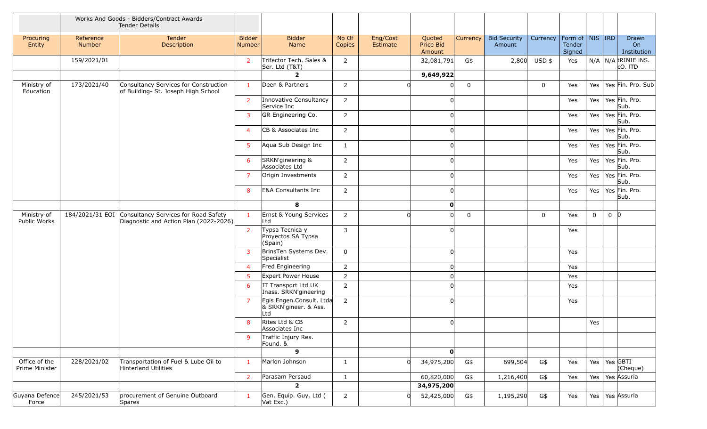|                                 |                            | Works And Goods - Bidders/Contract Awards<br>Tender Details                    |                         |                                                          |                 |                      |                               |             |                               |          |                                     |             |          |                                  |
|---------------------------------|----------------------------|--------------------------------------------------------------------------------|-------------------------|----------------------------------------------------------|-----------------|----------------------|-------------------------------|-------------|-------------------------------|----------|-------------------------------------|-------------|----------|----------------------------------|
| Procuring<br>Entity             | Reference<br><b>Number</b> | Tender<br>Description                                                          | <b>Bidder</b><br>Number | <b>Bidder</b><br>Name                                    | No Of<br>Copies | Eng/Cost<br>Estimate | Quoted<br>Price Bid<br>Amount | Currency    | <b>Bid Security</b><br>Amount | Currency | Form of NIS IRD<br>Tender<br>Signed |             |          | Drawn<br>On<br>Institution       |
|                                 | 159/2021/01                |                                                                                | $\overline{2}$          | Trifactor Tech. Sales &<br>Ser. Ltd (T&T)                | $\overline{2}$  |                      | 32,081,791                    | G\$         | 2,800                         | USD \$   | Yes                                 |             |          | $N/A$ N/A tRINIE INS.<br>cO. ITD |
|                                 |                            |                                                                                |                         | $\overline{2}$                                           |                 |                      | 9,649,922                     |             |                               |          |                                     |             |          |                                  |
| Ministry of<br>Education        | 173/2021/40                | Consultancy Services for Construction<br>of Building- St. Joseph High School   | $\mathbf{1}$            | Deen & Partners                                          | $\overline{2}$  |                      |                               | $\mathbf 0$ |                               | 0        | Yes                                 | Yes         |          | Yes Fin. Pro. Sub                |
|                                 |                            |                                                                                | $\overline{2}$          | Innovative Consultancy<br>Service Inc                    | $\overline{2}$  |                      |                               |             |                               |          | Yes                                 | Yes         |          | Yes Fin. Pro.<br>Sub.            |
|                                 |                            |                                                                                | 3                       | GR Engineering Co.                                       | $\overline{2}$  |                      |                               |             |                               |          | Yes                                 | Yes         |          | Yes Fin. Pro.<br>Sub.            |
|                                 |                            |                                                                                | $\overline{4}$          | CB & Associates Inc                                      | $\overline{2}$  |                      |                               |             |                               |          | Yes                                 | Yes         |          | Yes Fin. Pro.<br>Sub.            |
|                                 |                            |                                                                                | 5                       | Aqua Sub Design Inc                                      | $\mathbf{1}$    |                      | ŋ                             |             |                               |          | Yes                                 | Yes         |          | Yes Fin. Pro.<br>Sub.            |
|                                 |                            |                                                                                | 6                       | SRKN'gineering &<br>Associates Ltd                       | $\overline{2}$  |                      |                               |             |                               |          | Yes                                 | Yes         |          | Yes Fin. Pro.<br>Sub.            |
|                                 |                            |                                                                                | $\overline{7}$          | Origin Investments                                       | $\overline{2}$  |                      | U                             |             |                               |          | Yes                                 | Yes         |          | Yes Fin. Pro.<br>Sub.            |
|                                 |                            |                                                                                | 8                       | <b>E&amp;A Consultants Inc</b>                           | $\overline{2}$  |                      |                               |             |                               |          | Yes                                 | Yes         |          | Yes Fin. Pro.<br>Sub.            |
|                                 |                            |                                                                                |                         | 8                                                        |                 |                      | $\mathbf{o}$                  |             |                               |          |                                     |             |          |                                  |
| Ministry of<br>Public Works     | 184/2021/31 EOI            | Consultancy Services for Road Safety<br>Diagnostic and Action Plan (2022-2026) | $\mathbf{1}$            | Ernst & Young Services<br>Ltd                            | $\overline{2}$  |                      | ŋ                             | $\mathbf 0$ |                               | 0        | Yes                                 | $\mathbf 0$ | $0$ $ 0$ |                                  |
|                                 |                            |                                                                                | $\overline{2}$          | Typsa Tecnica y<br>Proyectos SA Typsa<br>(Spain)         | 3               |                      | ŋ                             |             |                               |          | Yes                                 |             |          |                                  |
|                                 |                            |                                                                                | 3                       | BrinsTen Systems Dev.<br>Specialist                      | 0               |                      |                               |             |                               |          | Yes                                 |             |          |                                  |
|                                 |                            |                                                                                | $\overline{4}$          | Fred Engineering                                         | $\overline{2}$  |                      | $\Omega$                      |             |                               |          | Yes                                 |             |          |                                  |
|                                 |                            |                                                                                | 5                       | Expert Power House                                       | $\overline{2}$  |                      |                               |             |                               |          | Yes                                 |             |          |                                  |
|                                 |                            |                                                                                | 6                       | IT Transport Ltd UK<br>Inass. SRKN'gineering             | $\overline{2}$  |                      |                               |             |                               |          | Yes                                 |             |          |                                  |
|                                 |                            |                                                                                | $\overline{7}$          | Egis Engen.Consult. Ltda<br>& SRKN'gineer. & Ass.<br>Ltd | $\overline{2}$  |                      |                               |             |                               |          | Yes                                 |             |          |                                  |
|                                 |                            |                                                                                | 8                       | Rites Ltd & CB<br>Associates Inc                         | 2               |                      | <sup>0</sup>                  |             |                               |          |                                     | Yes         |          |                                  |
|                                 |                            |                                                                                | 9                       | Traffic Injury Res.<br>Found. &                          |                 |                      |                               |             |                               |          |                                     |             |          |                                  |
|                                 |                            |                                                                                |                         | $\mathbf{9}$                                             |                 |                      | O                             |             |                               |          |                                     |             |          |                                  |
| Office of the<br>Prime Minister | 228/2021/02                | Transportation of Fuel & Lube Oil to<br>Hinterland Utilities                   | $\mathbf{1}$            | Marlon Johnson                                           | 1               |                      | 34,975,200                    | G\$         | 699,504                       | G\$      | Yes                                 |             |          | Yes   Yes GBTI<br>(Cheque)       |
|                                 |                            |                                                                                | $\overline{2}$          | Parasam Persaud                                          | $\mathbf{1}$    |                      | 60,820,000                    | G\$         | 1,216,400                     | G\$      | Yes                                 | Yes         |          | Yes Assuria                      |
|                                 |                            |                                                                                |                         | $\overline{\mathbf{2}}$                                  |                 |                      | 34,975,200                    |             |                               |          |                                     |             |          |                                  |
| Guyana Defence<br>Force         | 245/2021/53                | procurement of Genuine Outboard<br>Spares                                      | $\overline{1}$          | Gen. Equip. Guy. Ltd (<br>Vat Exc.)                      | $\overline{2}$  |                      | 52,425,000                    | G\$         | 1,195,290                     | G\$      | Yes                                 | Yes         |          | Yes Assuria                      |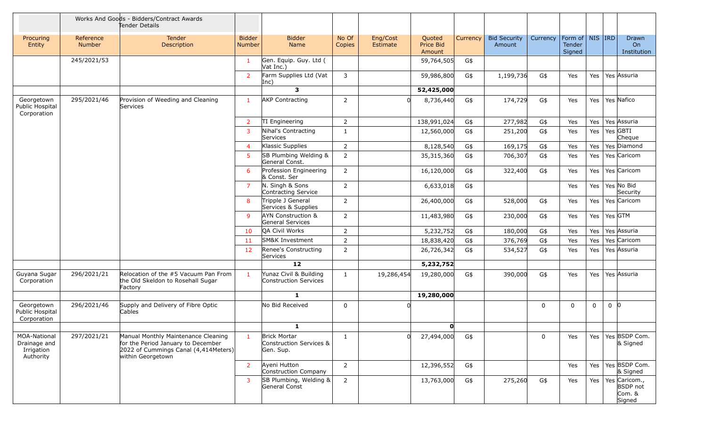|                                                         | Works And Goods - Bidders/Contract Awards<br>Tender Details |                                                                                                                                        |                                |                                                             |                 |                             |                               |          |                               |          |                                         |             |                   |                                                      |
|---------------------------------------------------------|-------------------------------------------------------------|----------------------------------------------------------------------------------------------------------------------------------------|--------------------------------|-------------------------------------------------------------|-----------------|-----------------------------|-------------------------------|----------|-------------------------------|----------|-----------------------------------------|-------------|-------------------|------------------------------------------------------|
| Procuring<br>Entity                                     | Reference<br><b>Number</b>                                  | Tender<br>Description                                                                                                                  | <b>Bidder</b><br><b>Number</b> | <b>Bidder</b><br><b>Name</b>                                | No Of<br>Copies | Eng/Cost<br><b>Estimate</b> | Quoted<br>Price Bid<br>Amount | Currency | <b>Bid Security</b><br>Amount | Currency | Form of   NIS   IRD<br>Tender<br>Signed |             |                   | Drawn<br><b>On</b><br>Institution                    |
|                                                         | 245/2021/53                                                 |                                                                                                                                        | -1                             | Gen. Equip. Guy. Ltd (<br>Vat Inc.)                         |                 |                             | 59,764,505                    | G\$      |                               |          |                                         |             |                   |                                                      |
|                                                         |                                                             |                                                                                                                                        | $\overline{2}$                 | Farm Supplies Ltd (Vat<br>Inc)                              | 3               |                             | 59,986,800                    | G\$      | 1,199,736                     | G\$      | Yes                                     | Yes         | Yes Assuria       |                                                      |
|                                                         |                                                             |                                                                                                                                        |                                | $\mathbf{3}$                                                |                 |                             | 52,425,000                    |          |                               |          |                                         |             |                   |                                                      |
| Georgetown<br>Public Hospital<br>Corporation            | 295/2021/46                                                 | Provision of Weeding and Cleaning<br>Services                                                                                          | $\mathbf{1}$                   | <b>AKP Contracting</b>                                      | $\overline{2}$  |                             | 8,736,440                     | G\$      | 174,729                       | G\$      | Yes                                     | Yes         | Yes Nafico        |                                                      |
|                                                         |                                                             |                                                                                                                                        | 2                              | TI Engineering                                              | 2               |                             | 138,991,024                   | G\$      | 277,982                       | G\$      | Yes                                     | Yes         | Yes Assuria       |                                                      |
|                                                         |                                                             |                                                                                                                                        | 3                              | Nihal's Contracting<br>Services                             | $\mathbf{1}$    |                             | 12,560,000                    | G\$      | 251,200                       | G\$      | Yes                                     | Yes         | Yes GBTI          | Cheque                                               |
|                                                         |                                                             |                                                                                                                                        | $\overline{4}$                 | Klassic Supplies                                            | $\overline{2}$  |                             | 8,128,540                     | G\$      | 169,175                       | G\$      | Yes                                     | Yes         |                   | Yes Diamond                                          |
|                                                         |                                                             |                                                                                                                                        | 5                              | SB Plumbing Welding &<br>General Const.                     | 2               |                             | 35,315,360                    | G\$      | 706,307                       | G\$      | Yes                                     | Yes         |                   | Yes Caricom                                          |
|                                                         |                                                             |                                                                                                                                        | 6                              | Profession Engineering<br>& Const. Ser                      | $\overline{2}$  |                             | 16,120,000                    | G\$      | 322,400                       | G\$      | Yes                                     | Yes         |                   | Yes Caricom                                          |
|                                                         |                                                             |                                                                                                                                        | $\overline{7}$                 | N. Singh & Sons<br>Contracting Service                      | 2               |                             | 6,633,018                     | G\$      |                               |          | Yes                                     | Yes         | Yes No Bid        | Security                                             |
|                                                         |                                                             |                                                                                                                                        | 8                              | Tripple J General<br>Services & Supplies                    | 2               |                             | 26,400,000                    | G\$      | 528,000                       | G\$      | Yes                                     | Yes         |                   | Yes Caricom                                          |
|                                                         |                                                             |                                                                                                                                        | 9                              | <b>AYN Construction &amp;</b><br>General Services           | $\overline{2}$  |                             | 11,483,980                    | G\$      | 230,000                       | G\$      | Yes                                     | Yes         | Yes GTM           |                                                      |
|                                                         |                                                             |                                                                                                                                        | 10                             | QA Civil Works                                              | $\overline{2}$  |                             | 5,232,752                     | G\$      | 180,000                       | G\$      | Yes                                     | Yes         | Yes Assuria       |                                                      |
|                                                         |                                                             |                                                                                                                                        | 11                             | SM&K Investment                                             | 2               |                             | 18,838,420                    | G\$      | 376,769                       | G\$      | Yes                                     | Yes         |                   | Yes Caricom                                          |
|                                                         |                                                             |                                                                                                                                        | 12                             | Renee's Constructing<br>Services                            | $\overline{2}$  |                             | 26,726,342                    | G\$      | 534,527                       | G\$      | Yes                                     | Yes         | Yes Assuria       |                                                      |
|                                                         |                                                             |                                                                                                                                        |                                | $12$                                                        |                 |                             | 5,232,752                     |          |                               |          |                                         |             |                   |                                                      |
| Guyana Sugar<br>Corporation                             | 296/2021/21                                                 | Relocation of the #5 Vacuum Pan From<br>the Old Skeldon to Rosehall Sugar<br>Factory                                                   | $\mathbf{1}$                   | Yunaz Civil & Building<br>Construction Services             | 1               | 19,286,454                  | 19,280,000                    | G\$      | 390,000                       | G\$      | Yes                                     | Yes         | Yes Assuria       |                                                      |
|                                                         |                                                             |                                                                                                                                        |                                | 1                                                           |                 |                             | 19,280,000                    |          |                               |          |                                         |             |                   |                                                      |
| Georgetown<br>Public Hospital<br>Corporation            | 296/2021/46                                                 | Supply and Delivery of Fibre Optic<br>Cables                                                                                           |                                | No Bid Received                                             | 0               |                             |                               |          |                               | 0        | $\mathbf{0}$                            | $\mathbf 0$ | $\mathbf 0$<br>10 |                                                      |
|                                                         |                                                             |                                                                                                                                        |                                | $\mathbf{1}$                                                |                 |                             | $\mathbf{0}$                  |          |                               |          |                                         |             |                   |                                                      |
| MOA-National<br>Drainage and<br>Irrigation<br>Authority | 297/2021/21                                                 | Manual Monthly Maintenance Cleaning<br>for the Period January to December<br>2022 of Cummings Canal (4,414Meters)<br>within Georgetown | $\mathbf{1}$                   | <b>Brick Mortar</b><br>Construction Services &<br>Gen. Sup. | 1               |                             | 27,494,000                    | G\$      |                               | 0        | Yes                                     |             |                   | Yes   Yes   BSDP Com.<br>& Signed                    |
|                                                         |                                                             |                                                                                                                                        | $\overline{2}$                 | Ayeni Hutton<br>Construction Company                        | $\overline{2}$  |                             | 12,396,552                    | G\$      |                               |          | Yes                                     | Yes         |                   | Yes BSDP Com.<br>& Signed                            |
|                                                         |                                                             |                                                                                                                                        | 3                              | SB Plumbing, Welding &<br>General Const                     | $\overline{2}$  |                             | 13,763,000                    | G\$      | 275,260                       | G\$      | Yes                                     | Yes         |                   | Yes Caricom.,<br><b>BSDP</b> not<br>Com. &<br>Signed |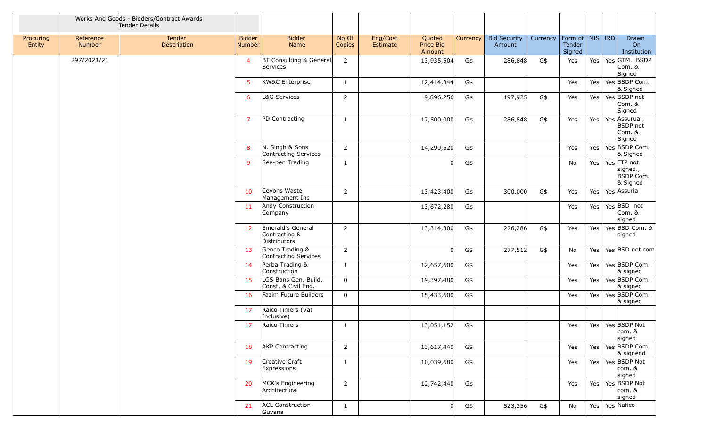|                     | Works And Goods - Bidders/Contract Awards<br>Tender Details |                       |                         |                                                    |                 |                      |                               |          |                               |          |                                         |     |                                                      |
|---------------------|-------------------------------------------------------------|-----------------------|-------------------------|----------------------------------------------------|-----------------|----------------------|-------------------------------|----------|-------------------------------|----------|-----------------------------------------|-----|------------------------------------------------------|
| Procuring<br>Entity | Reference<br><b>Number</b>                                  | Tender<br>Description | <b>Bidder</b><br>Number | <b>Bidder</b><br>Name                              | No Of<br>Copies | Eng/Cost<br>Estimate | Quoted<br>Price Bid<br>Amount | Currency | <b>Bid Security</b><br>Amount | Currency | Form of   NIS   IRD<br>Tender<br>Signed |     | Drawn<br>On<br>Institution                           |
|                     | 297/2021/21                                                 |                       | $\overline{4}$          | BT Consulting & General<br>Services                | $\overline{2}$  |                      | 13,935,504                    | G\$      | 286,848                       | G\$      | Yes                                     | Yes | Yes GTM., BSDP<br>Com. &<br>Signed                   |
|                     |                                                             |                       | 5                       | KW&C Enterprise                                    | $\mathbf{1}$    |                      | 12,414,344                    | G\$      |                               |          | Yes                                     | Yes | Yes BSDP Com.<br>& Signed                            |
|                     |                                                             |                       | 6                       | L&G Services                                       | $\overline{2}$  |                      | 9,896,256                     | G\$      | 197,925                       | G\$      | Yes                                     | Yes | Yes BSDP not<br>Com. &<br>Signed                     |
|                     |                                                             |                       | $\overline{7}$          | PD Contracting                                     | $\mathbf{1}$    |                      | 17,500,000                    | G\$      | 286,848                       | G\$      | Yes                                     | Yes | Yes Assurua.,<br><b>BSDP</b> not<br>Com. &<br>Signed |
|                     |                                                             |                       | 8                       | N. Singh & Sons<br>Contracting Services            | $\overline{2}$  |                      | 14,290,520                    | G\$      |                               |          | Yes                                     | Yes | Yes BSDP Com.<br>& Signed                            |
|                     |                                                             |                       | 9                       | See-pen Trading                                    | $\mathbf{1}$    |                      |                               | G\$      |                               |          | No                                      | Yes | Yes FTP not<br>signed.,<br>BSDP Com.<br>& Signed     |
|                     |                                                             |                       | 10                      | Cevons Waste<br>Management Inc                     | $\overline{2}$  |                      | 13,423,400                    | G\$      | 300,000                       | G\$      | Yes                                     | Yes | Yes Assuria                                          |
|                     |                                                             |                       | -11                     | Andy Construction<br>Company                       |                 |                      | 13,672,280                    | G\$      |                               |          | Yes                                     | Yes | Yes BSD not<br>Com. &<br>signed                      |
|                     |                                                             |                       | 12                      | Emerald's General<br>Contracting &<br>Distributors | $\overline{2}$  |                      | 13,314,300                    | G\$      | 226,286                       | G\$      | Yes                                     | Yes | Yes BSD Com. &<br>signed                             |
|                     |                                                             |                       | 13                      | Genco Trading &<br>Contracting Services            | $\overline{2}$  |                      | ΩI                            | G\$      | 277,512                       | G\$      | No                                      | Yes | Yes BSD not com                                      |
|                     |                                                             |                       | 14                      | Perba Trading &<br>Construction                    | $\mathbf{1}$    |                      | 12,657,600                    | G\$      |                               |          | Yes                                     | Yes | Yes BSDP Com.<br>& signed                            |
|                     |                                                             |                       | 15                      | LGS Bans Gen. Build.<br>Const. & Civil Eng.        | $\mathbf 0$     |                      | 19,397,480                    | G\$      |                               |          | Yes                                     | Yes | Yes BSDP Com.<br>& signed                            |
|                     |                                                             |                       | 16                      | Fazim Future Builders                              | $\mathbf 0$     |                      | 15,433,600                    | G\$      |                               |          | Yes                                     | Yes | Yes BSDP Com.<br>& signed                            |
|                     |                                                             |                       | 17                      | Raico Timers (Vat<br>Inclusive)                    |                 |                      |                               |          |                               |          |                                         |     |                                                      |
|                     |                                                             |                       |                         | 17 Raico Timers                                    | $\mathbf{1}$    |                      | 13,051,152                    | G\$      |                               |          | Yes                                     |     | Yes   Yes   BSDP Not<br>$com.$ &<br>signed           |
|                     |                                                             |                       | 18                      | <b>AKP Contracting</b>                             | $\overline{2}$  |                      | 13,617,440                    | G\$      |                               |          | Yes                                     | Yes | Yes BSDP Com.<br>& signend                           |
|                     |                                                             |                       | 19                      | Creative Craft<br>Expressions                      | $\mathbf{1}$    |                      | 10,039,680                    | G\$      |                               |          | Yes                                     |     | Yes   Yes   BSDP Not<br>$com.$ &<br>signed           |
|                     |                                                             |                       | 20                      | MCK's Engineering<br>Architectural                 | $\overline{2}$  |                      | 12,742,440                    | G\$      |                               |          | Yes                                     | Yes | Yes BSDP Not<br>$com.$ &<br>signed                   |
|                     |                                                             |                       | 21                      | <b>ACL Construction</b><br>Guyana                  | $\mathbf{1}$    |                      | $\Omega$                      | G\$      | 523,356                       | G\$      | No                                      |     | Yes   Yes   Nafico                                   |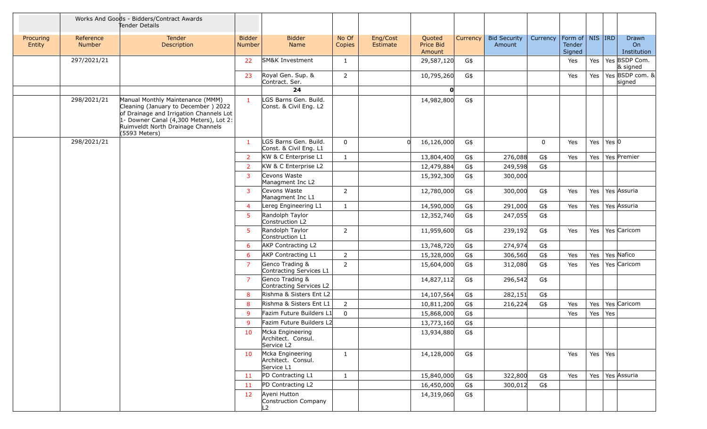|                     |                     | Works And Goods - Bidders/Contract Awards<br>Tender Details                                                                                                                                                        |                                |                                                      |                 |                      |                               |          |                               |             |                                             |           |                 |                            |
|---------------------|---------------------|--------------------------------------------------------------------------------------------------------------------------------------------------------------------------------------------------------------------|--------------------------------|------------------------------------------------------|-----------------|----------------------|-------------------------------|----------|-------------------------------|-------------|---------------------------------------------|-----------|-----------------|----------------------------|
| Procuring<br>Entity | Reference<br>Number | Tender<br>Description                                                                                                                                                                                              | <b>Bidder</b><br><b>Number</b> | <b>Bidder</b><br>Name                                | No Of<br>Copies | Eng/Cost<br>Estimate | Quoted<br>Price Bid<br>Amount | Currency | <b>Bid Security</b><br>Amount | Currency    | Form of $\vert$ NIS IRD<br>Tender<br>Signed |           |                 | Drawn<br>On<br>Institution |
|                     | 297/2021/21         |                                                                                                                                                                                                                    | 22                             | SM&K Investment                                      | 1               |                      | 29,587,120                    | G\$      |                               |             | Yes                                         | Yes       |                 | Yes BSDP Com.<br>& signed  |
|                     |                     |                                                                                                                                                                                                                    | 23                             | Royal Gen. Sup. &<br>Contract. Ser.                  | $\overline{2}$  |                      | 10,795,260                    | G\$      |                               |             | Yes                                         | Yes       |                 | Yes BSDP com. &<br>signed  |
|                     |                     |                                                                                                                                                                                                                    |                                | 24                                                   |                 |                      | O                             |          |                               |             |                                             |           |                 |                            |
|                     | 298/2021/21         | Manual Monthly Maintenance (MMM)<br>Cleaning (January to December) 2022<br>of Drainage and Irrigation Channels Lot<br>1- Downer Canal (4,300 Meters), Lot 2:<br>Ruimveldt North Drainage Channels<br>(5593 Meters) | $\mathbf{1}$                   | LGS Barns Gen. Build.<br>Const. & Civil Eng. L2      |                 |                      | 14,982,800                    | G\$      |                               |             |                                             |           |                 |                            |
|                     | 298/2021/21         |                                                                                                                                                                                                                    | 1                              | LGS Barns Gen. Build.<br>Const. & Civil Eng. L1      | $\mathbf 0$     |                      | 16,126,000                    | G\$      |                               | $\mathbf 0$ | Yes                                         | Yes       | Yes $ 0\rangle$ |                            |
|                     |                     |                                                                                                                                                                                                                    | 2                              | KW & C Enterprise L1                                 | $\mathbf{1}$    |                      | 13,804,400                    | G\$      | 276,088                       | G\$         | Yes                                         | Yes       |                 | Yes Premier                |
|                     |                     |                                                                                                                                                                                                                    | 2                              | KW & C Enterprise L2                                 |                 |                      | 12,479,884                    | G\$      | 249,598                       | G\$         |                                             |           |                 |                            |
|                     |                     |                                                                                                                                                                                                                    | 3                              | Cevons Waste<br>Managment Inc L2                     |                 |                      | 15,392,300                    | G\$      | 300,000                       |             |                                             |           |                 |                            |
|                     |                     |                                                                                                                                                                                                                    | 3                              | Cevons Waste<br>Managment Inc L1                     | 2               |                      | 12,780,000                    | G\$      | 300,000                       | G\$         | Yes                                         | Yes       |                 | Yes Assuria                |
|                     |                     |                                                                                                                                                                                                                    | $\overline{4}$                 | Lereg Engineering L1                                 | $\mathbf{1}$    |                      | 14,590,000                    | G\$      | 291,000                       | G\$         | Yes                                         | Yes       |                 | Yes Assuria                |
|                     |                     |                                                                                                                                                                                                                    | 5                              | Randolph Taylor<br>Construction L2                   |                 |                      | 12,352,740                    | G\$      | 247,055                       | G\$         |                                             |           |                 |                            |
|                     |                     |                                                                                                                                                                                                                    | 5                              | Randolph Taylor<br>Construction L1                   | $\overline{2}$  |                      | 11,959,600                    | G\$      | 239,192                       | G\$         | Yes                                         | Yes       |                 | Yes Caricom                |
|                     |                     |                                                                                                                                                                                                                    | 6                              | AKP Contracting L2                                   |                 |                      | 13,748,720                    | G\$      | 274,974                       | G\$         |                                             |           |                 |                            |
|                     |                     |                                                                                                                                                                                                                    | 6                              | <b>AKP Contracting L1</b>                            | $\overline{2}$  |                      | 15,328,000                    | G\$      | 306,560                       | $G\$        | Yes                                         | Yes       |                 | Yes Nafico                 |
|                     |                     |                                                                                                                                                                                                                    | $\overline{7}$                 | Genco Trading &<br>Contracting Services L1           | $\overline{2}$  |                      | 15,604,000                    | G\$      | 312,080                       | G\$         | Yes                                         | Yes       |                 | Yes Caricom                |
|                     |                     |                                                                                                                                                                                                                    | $\overline{7}$                 | Genco Trading &<br>Contracting Services L2           |                 |                      | 14,827,112                    | G\$      | 296,542                       | G\$         |                                             |           |                 |                            |
|                     |                     |                                                                                                                                                                                                                    | 8                              | Rishma & Sisters Ent L2                              |                 |                      | 14,107,564                    | G\$      | 282,151                       | G\$         |                                             |           |                 |                            |
|                     |                     |                                                                                                                                                                                                                    | 8                              | Rishma & Sisters Ent L1                              | 2               |                      | 10,811,200                    | G\$      | 216,224                       | G\$         | Yes                                         | Yes       |                 | Yes Caricom                |
|                     |                     |                                                                                                                                                                                                                    | 9                              | Fazim Future Builders L1                             | $\mathbf 0$     |                      | 15,868,000                    | G\$      |                               |             | Yes                                         | Yes       | Yes             |                            |
|                     |                     |                                                                                                                                                                                                                    | 9                              | Fazim Future Builders L2                             |                 |                      | 13,773,160                    | G\$      |                               |             |                                             |           |                 |                            |
|                     |                     |                                                                                                                                                                                                                    | 10                             | Mcka Engineering<br>Architect. Consul.<br>Service L2 |                 |                      | 13,934,880                    | G\$      |                               |             |                                             |           |                 |                            |
|                     |                     |                                                                                                                                                                                                                    | 10                             | Mcka Engineering<br>Architect. Consul.<br>Service L1 | $\mathbf{1}$    |                      | 14,128,000                    | G\$      |                               |             | Yes                                         | $Yes$ Yes |                 |                            |
|                     |                     |                                                                                                                                                                                                                    | 11                             | PD Contracting L1                                    | $\mathbf{1}$    |                      | 15,840,000                    | G\$      | 322,800                       | G\$         | Yes                                         | Yes       |                 | Yes Assuria                |
|                     |                     |                                                                                                                                                                                                                    | 11                             | PD Contracting L2                                    |                 |                      | 16,450,000                    | G\$      | 300,012                       | G\$         |                                             |           |                 |                            |
|                     |                     |                                                                                                                                                                                                                    | 12                             | Ayeni Hutton<br>Construction Company<br>L2           |                 |                      | 14,319,060                    | G\$      |                               |             |                                             |           |                 |                            |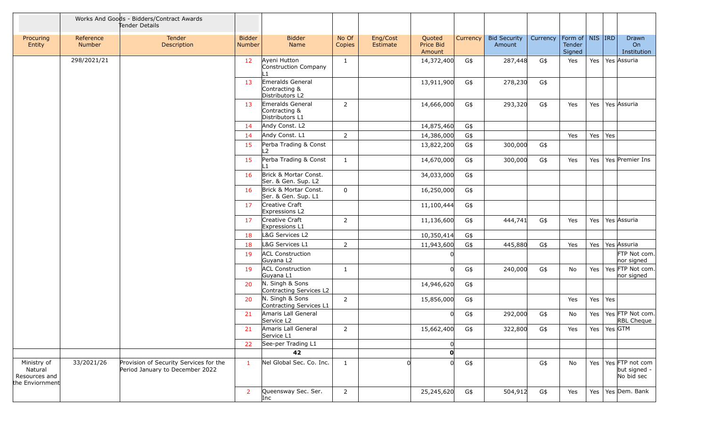|                                                            | Works And Goods - Bidders/Contract Awards<br>Tender Details |                                                                           |                         |                                                      |                 |                      |                               |          |                               |          |                                         |         |               |                                               |
|------------------------------------------------------------|-------------------------------------------------------------|---------------------------------------------------------------------------|-------------------------|------------------------------------------------------|-----------------|----------------------|-------------------------------|----------|-------------------------------|----------|-----------------------------------------|---------|---------------|-----------------------------------------------|
| Procuring<br>Entity                                        | Reference<br>Number                                         | Tender<br>Description                                                     | <b>Bidder</b><br>Number | <b>Bidder</b><br>Name                                | No Of<br>Copies | Eng/Cost<br>Estimate | Quoted<br>Price Bid<br>Amount | Currency | <b>Bid Security</b><br>Amount | Currency | Form of   NIS   IRD<br>Tender<br>Signed |         |               | Drawn<br><b>On</b><br>Institution             |
|                                                            | 298/2021/21                                                 |                                                                           | 12                      | Ayeni Hutton<br>Construction Company                 | $\mathbf{1}$    |                      | 14,372,400                    | G\$      | 287,448                       | G\$      | Yes                                     | Yes     |               | Yes Assuria                                   |
|                                                            |                                                             |                                                                           | 13                      | Emeralds General<br>Contracting &<br>Distributors L2 |                 |                      | 13,911,900                    | G\$      | 278,230                       | G\$      |                                         |         |               |                                               |
|                                                            |                                                             |                                                                           | 13                      | Emeralds General<br>Contracting &<br>Distributors L1 | $\overline{2}$  |                      | 14,666,000                    | G\$      | 293,320                       | G\$      | Yes                                     | Yes     |               | Yes Assuria                                   |
|                                                            |                                                             |                                                                           | 14                      | Andy Const. L2                                       |                 |                      | 14,875,460                    | G\$      |                               |          |                                         |         |               |                                               |
|                                                            |                                                             |                                                                           | 14                      | Andy Const. L1                                       | $\overline{2}$  |                      | 14,386,000                    | G\$      |                               |          | Yes                                     | Yes Yes |               |                                               |
|                                                            |                                                             |                                                                           | 15                      | Perba Trading & Const<br>$\overline{2}$              |                 |                      | 13,822,200                    | G\$      | 300,000                       | G\$      |                                         |         |               |                                               |
|                                                            |                                                             |                                                                           | 15                      | Perba Trading & Const                                | $\mathbf{1}$    |                      | 14,670,000                    | G\$      | 300,000                       | G\$      | Yes                                     | Yes     |               | Yes Premier Ins                               |
|                                                            |                                                             |                                                                           | 16                      | Brick & Mortar Const.<br>Ser. & Gen. Sup. L2         |                 |                      | 34,033,000                    | G\$      |                               |          |                                         |         |               |                                               |
|                                                            |                                                             |                                                                           | 16                      | Brick & Mortar Const.<br>Ser. & Gen. Sup. L1         | $\mathbf 0$     |                      | 16,250,000                    | G\$      |                               |          |                                         |         |               |                                               |
|                                                            |                                                             |                                                                           | 17                      | Creative Craft<br>Expressions L2                     |                 |                      | 11,100,444                    | G\$      |                               |          |                                         |         |               |                                               |
|                                                            |                                                             |                                                                           | 17                      | Creative Craft<br>Expressions L1                     | $\overline{2}$  |                      | 11,136,600                    | G\$      | 444,741                       | G\$      | Yes                                     | Yes     |               | Yes Assuria                                   |
|                                                            |                                                             |                                                                           | 18                      | L&G Services L2                                      |                 |                      | 10,350,414                    | G\$      |                               |          |                                         |         |               |                                               |
|                                                            |                                                             |                                                                           | 18                      | L&G Services L1                                      | $\overline{2}$  |                      | 11,943,600                    | G\$      | 445,880                       | G\$      | Yes                                     | Yes     |               | Yes Assuria                                   |
|                                                            |                                                             |                                                                           | 19                      | <b>ACL Construction</b><br>Guyana L2                 |                 |                      |                               |          |                               |          |                                         |         |               | FTP Not com.<br>nor signed                    |
|                                                            |                                                             |                                                                           | 19                      | <b>ACL Construction</b><br>Guyana L1                 | 1               |                      |                               | G\$      | 240,000                       | G\$      | No                                      | Yes     |               | Yes FTP Not com.<br>nor signed                |
|                                                            |                                                             |                                                                           | 20                      | N. Singh & Sons<br>Contracting Services L2           |                 |                      | 14,946,620                    | G\$      |                               |          |                                         |         |               |                                               |
|                                                            |                                                             |                                                                           | 20                      | N. Singh & Sons<br>Contracting Services L1           | $\overline{2}$  |                      | 15,856,000                    | G\$      |                               |          | Yes                                     | Yes     | Yes           |                                               |
|                                                            |                                                             |                                                                           | 21                      | Amaris Lall General<br>Service L2                    |                 |                      |                               | G\$      | 292,000                       | G\$      | No                                      | Yes     |               | Yes FTP Not com.<br>RBL Cheque                |
|                                                            |                                                             |                                                                           | 21                      | Amaris Lall General<br>Service L1                    | 2               |                      | 15,662,400                    | G\$      | 322,800                       | G\$      | Yes                                     |         | Yes   Yes GTM |                                               |
|                                                            |                                                             |                                                                           | 22                      | See-per Trading L1                                   |                 |                      |                               |          |                               |          |                                         |         |               |                                               |
|                                                            |                                                             |                                                                           |                         | 42                                                   |                 |                      | $\mathbf{o}$                  |          |                               |          |                                         |         |               |                                               |
| Ministry of<br>Natural<br>Resources and<br>the Enviornment | 33/2021/26                                                  | Provision of Security Services for the<br>Period January to December 2022 | $\mathbf{1}$            | Nel Global Sec. Co. Inc.                             | $\mathbf{1}$    |                      |                               | G\$      |                               | G\$      | No                                      | Yes     |               | Yes FTP not com<br>but signed -<br>No bid sec |
|                                                            |                                                             |                                                                           | $\overline{2}$          | Queensway Sec. Ser.<br>Inc.                          | $\overline{2}$  |                      | 25,245,620                    | G\$      | 504,912                       | G\$      | Yes                                     | Yes     |               | Yes Dem. Bank                                 |